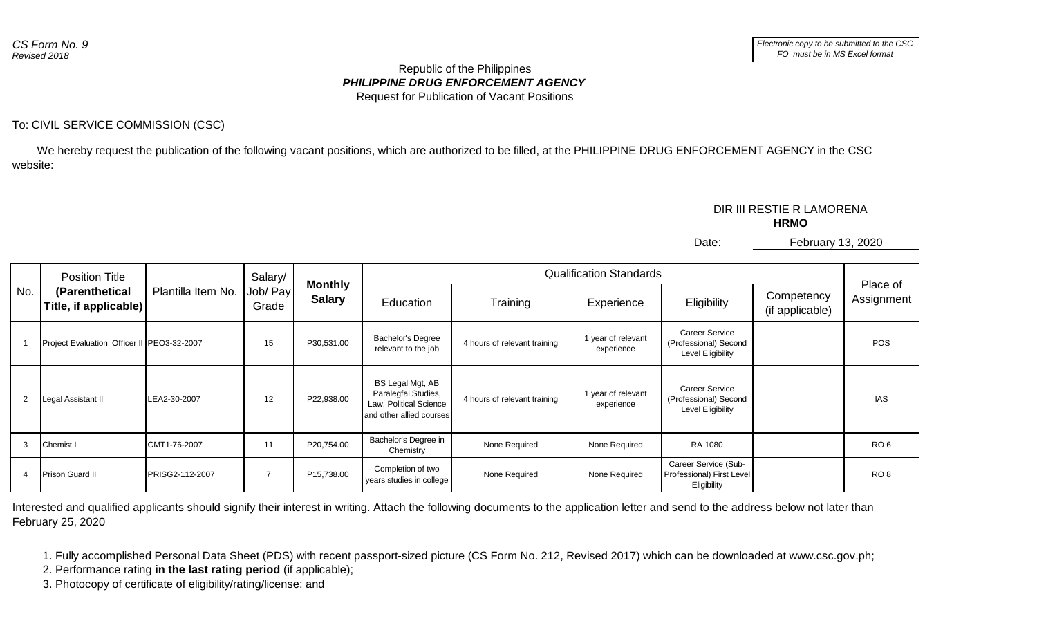## *PHILIPPINE DRUG ENFORCEMENT AGENCY* Republic of the Philippines Request for Publication of Vacant Positions

## To: CIVIL SERVICE COMMISSION (CSC)

 We hereby request the publication of the following vacant positions, which are authorized to be filled, at the PHILIPPINE DRUG ENFORCEMENT AGENCY in the CSC website:

DIR III RESTIE R LAMORENA

**HRMO**

February 13, 2020

Date:

| No. | <b>Position Title</b><br>(Parenthetical<br>Title, if applicable) | Plantilla Item No. | Salary/<br>Job/ Pay<br>Grade | <b>Monthly</b><br><b>Salary</b> | <b>Qualification Standards</b>                                                                |                              |                                |                                                                  |                               |                        |
|-----|------------------------------------------------------------------|--------------------|------------------------------|---------------------------------|-----------------------------------------------------------------------------------------------|------------------------------|--------------------------------|------------------------------------------------------------------|-------------------------------|------------------------|
|     |                                                                  |                    |                              |                                 | Education                                                                                     | Training                     | Experience                     | Eligibility                                                      | Competency<br>(if applicable) | Place of<br>Assignment |
|     | Project Evaluation Officer II   PEO3-32-2007                     |                    | 15                           | P30,531.00                      | <b>Bachelor's Degree</b><br>relevant to the job                                               | 4 hours of relevant training | year of relevant<br>experience | Career Service<br>(Professional) Second<br>Level Eligibility     |                               | POS                    |
| 2   | Legal Assistant II                                               | LEA2-30-2007       | 12                           | P22,938.00                      | BS Legal Mgt, AB<br>Paralegfal Studies,<br>Law, Political Science<br>and other allied courses | 4 hours of relevant training | year of relevant<br>experience | Career Service<br>(Professional) Second<br>Level Eligibility     |                               | <b>IAS</b>             |
| 3   | Chemist I                                                        | CMT1-76-2007       | 11                           | P20,754.00                      | Bachelor's Degree in<br>Chemistry                                                             | None Required                | None Required                  | RA 1080                                                          |                               | RO <sub>6</sub>        |
| 4   | <b>Prison Guard II</b>                                           | PRISG2-112-2007    |                              | P15,738.00                      | Completion of two<br>years studies in college                                                 | None Required                | None Required                  | Career Service (Sub-<br>Professional) First Level<br>Eligibility |                               | RO <sub>8</sub>        |

Interested and qualified applicants should signify their interest in writing. Attach the following documents to the application letter and send to the address below not later than February 25, 2020

1. Fully accomplished Personal Data Sheet (PDS) with recent passport-sized picture (CS Form No. 212, Revised 2017) which can be downloaded at www.csc.gov.ph;

2. Performance rating **in the last rating period** (if applicable);

3. Photocopy of certificate of eligibility/rating/license; and